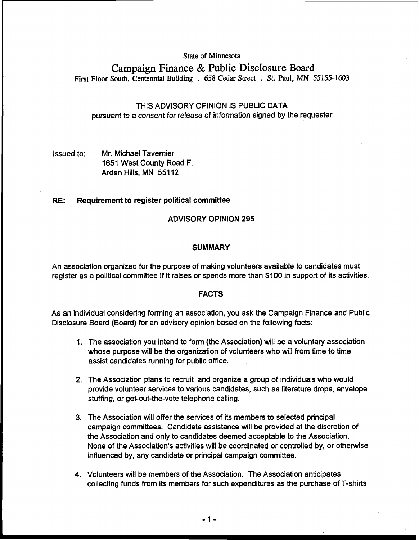**State of Minnesota** 

**Campaign Finance** & **Public Disclosure Board First FIoor South, Centennial Building** . **658 Cedar Street** . **St. Paul, MN 55155-1603** 

# THIS ADVISORY OPINION IS PUBLIC DATA pursuant to a consent for release of information signed by the requester

# Issued to: Mr. Michael Tavernier 1651 West County Road F. Arden Hills, MN 551 12

# RE: Requirement to register political committee

## ADVISORY OPINION 295

### **SUMMARY**

An association organized for the purpose of making volunteers available to candidates must register as a political committee if it raises or spends more than \$100 in support of its activities.

### FACTS

As an individual considering forming an association, you ask the Campaign Finance and Public Disclosure Board (Board) for an advisory opinion based on the following facts:

- 1. The association you intend to form (the Association) will be a voluntary association whose purpose will be the organization of volunteers who will from time to time assist candidates running for public office.
- 2. The Association plans to recruit and organize a group of individuals who would provide volunteer services to various candidates, such as literature drops, envelope stuffing, or get-out-the-vote telephone calling.
- 3. The Association will offer the services of its members to selected principal campaign committees. Candidate assistance will be provided at the discretion of the Association and only to candidates deemed acceptable to the Association. None of the Association's activities will be coordinated or controlled by, or othewise influenced by, any candidate or principal campaign committee.
- 4. Volunteers will be members of the Association. The Association anticipates collecting funds from its members for such expenditures as the purchase of T-shirts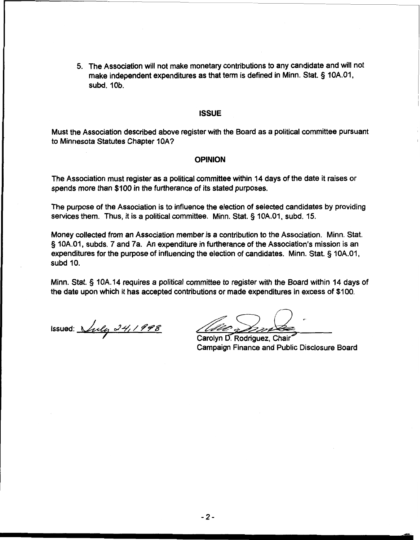5. The Association will not make monetary contributions to any candidate and will not make independent expenditures as that term is defined in Minn. Stat. § 10A.01, subd. 10b.

## **ISSUE**

Must the Association described above register with the Board as a political committee pursuant to Minnesota Statutes Chapter IOA?

#### **OPINION**

The Association must register as a political committee within 14 days of the date it raises or spends more than \$100 in the furtherance of its stated purposes.

The purpose of the Association is to influence the election of selected candidates by providing services them. Thus, it is a political committee. Minn. Stat. § 10A.01, subd. 15.

Money collected from an Association member is a contribution to the Association. Minn. Stat. § 10A.01, subds. 7 and 7a. An expenditure in furtherance of the Association's mission is an expenditures for the purpose of influencing the election of candidates. Minn. Stat. § 10A.01, subd 10.

Minn. Stat. § 10A. 14 requires a political committee to register with the Board within 14 days of

the date upon which it has accepted contributions or made expenditures in excess of \$100.<br>
Issued: *July 24, 1998*<br>
Carolyn D. Rodriguez, Chair

Carolyn D. Rodriguez, Chair Campaign Finance and Public Disclosure Board